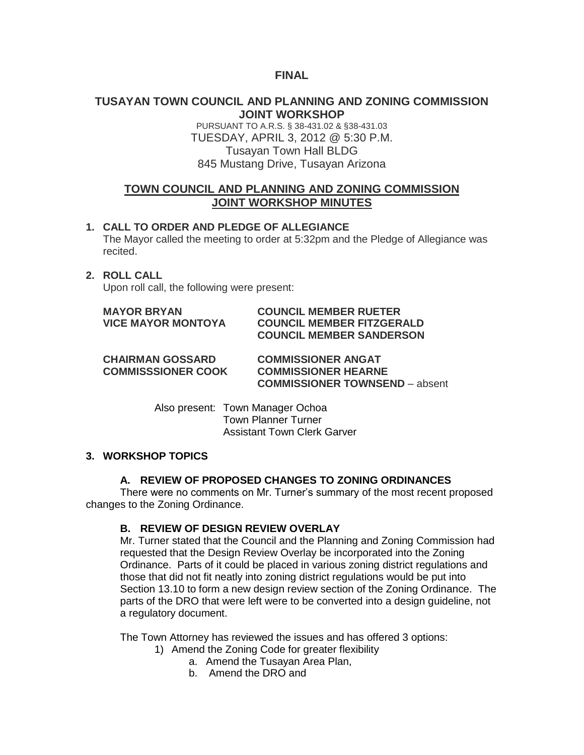## **FINAL**

## **TUSAYAN TOWN COUNCIL AND PLANNING AND ZONING COMMISSION JOINT WORKSHOP**

PURSUANT TO A.R.S. § 38-431.02 & §38-431.03 TUESDAY, APRIL 3, 2012 @ 5:30 P.M. Tusayan Town Hall BLDG 845 Mustang Drive, Tusayan Arizona

# **TOWN COUNCIL AND PLANNING AND ZONING COMMISSION JOINT WORKSHOP MINUTES**

**1. CALL TO ORDER AND PLEDGE OF ALLEGIANCE** The Mayor called the meeting to order at 5:32pm and the Pledge of Allegiance was recited.

### **2. ROLL CALL**

Upon roll call, the following were present:

| <b>MAYOR BRYAN</b>        | <b>COUNCIL MEMBER RUETER</b>     |
|---------------------------|----------------------------------|
| <b>VICE MAYOR MONTOYA</b> | <b>COUNCIL MEMBER FITZGERALD</b> |
|                           | <b>COUNCIL MEMBER SANDERSON</b>  |

**CHAIRMAN GOSSARD COMMISSIONER ANGAT COMMISSSIONER COOK COMMISSIONER HEARNE COMMISSIONER TOWNSEND** – absent

> Also present: Town Manager Ochoa Town Planner Turner Assistant Town Clerk Garver

#### **3. WORKSHOP TOPICS**

#### **A. REVIEW OF PROPOSED CHANGES TO ZONING ORDINANCES**

There were no comments on Mr. Turner's summary of the most recent proposed changes to the Zoning Ordinance.

#### **B. REVIEW OF DESIGN REVIEW OVERLAY**

Mr. Turner stated that the Council and the Planning and Zoning Commission had requested that the Design Review Overlay be incorporated into the Zoning Ordinance. Parts of it could be placed in various zoning district regulations and those that did not fit neatly into zoning district regulations would be put into Section 13.10 to form a new design review section of the Zoning Ordinance. The parts of the DRO that were left were to be converted into a design guideline, not a regulatory document.

The Town Attorney has reviewed the issues and has offered 3 options:

- 1) Amend the Zoning Code for greater flexibility
	- a. Amend the Tusayan Area Plan,
	- b. Amend the DRO and